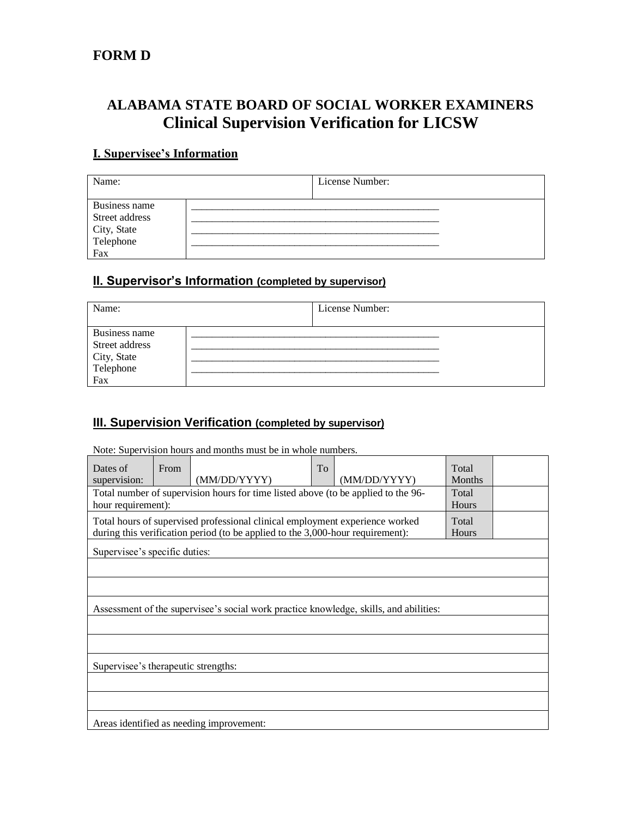## **FORM D**

# **ALABAMA STATE BOARD OF SOCIAL WORKER EXAMINERS Clinical Supervision Verification for LICSW**

#### **I. Supervisee's Information**

| Name:                                                              | License Number: |  |
|--------------------------------------------------------------------|-----------------|--|
| Business name<br>Street address<br>City, State<br>Telephone<br>Fax |                 |  |

## **II. Supervisor's Information (completed by supervisor)**

| Name:                                                              | License Number: |  |
|--------------------------------------------------------------------|-----------------|--|
| Business name<br>Street address<br>City, State<br>Telephone<br>Fax |                 |  |

## **III. Supervision Verification (completed by supervisor)**

Note: Supervision hours and months must be in whole numbers.

| Dates of<br>supervision:                                                                                                                                       | From                                                                                  | (MM/DD/YYYY) | To | (MM/DD/YYYY)          | Total<br><b>Months</b> |  |
|----------------------------------------------------------------------------------------------------------------------------------------------------------------|---------------------------------------------------------------------------------------|--------------|----|-----------------------|------------------------|--|
| Total number of supervision hours for time listed above (to be applied to the 96-<br>hour requirement):                                                        |                                                                                       |              |    | Total<br>Hours        |                        |  |
| Total hours of supervised professional clinical employment experience worked<br>during this verification period (to be applied to the 3,000-hour requirement): |                                                                                       |              |    | Total<br><b>Hours</b> |                        |  |
| Supervisee's specific duties:                                                                                                                                  |                                                                                       |              |    |                       |                        |  |
|                                                                                                                                                                |                                                                                       |              |    |                       |                        |  |
|                                                                                                                                                                |                                                                                       |              |    |                       |                        |  |
|                                                                                                                                                                | Assessment of the supervisee's social work practice knowledge, skills, and abilities: |              |    |                       |                        |  |
|                                                                                                                                                                |                                                                                       |              |    |                       |                        |  |
|                                                                                                                                                                |                                                                                       |              |    |                       |                        |  |
| Supervisee's therapeutic strengths:                                                                                                                            |                                                                                       |              |    |                       |                        |  |
|                                                                                                                                                                |                                                                                       |              |    |                       |                        |  |
|                                                                                                                                                                |                                                                                       |              |    |                       |                        |  |
| Areas identified as needing improvement:                                                                                                                       |                                                                                       |              |    |                       |                        |  |